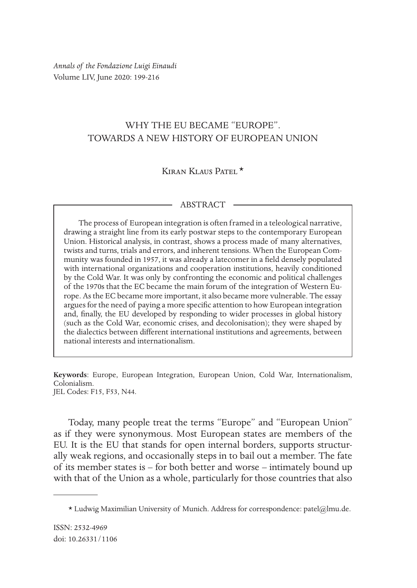*Annals of the Fondazione Luigi Einaudi* Volume LIV, June 2020: 199-216

## WHY THE EU BECAME "EUROPE". TOWARDS A NEW HISTORY OF EUROPEAN UNION

# Kiran Klaus Patel  $\star$

### ABSTRACT

The process of European integration is often framed in a teleological narrative, drawing a straight line from its early postwar steps to the contemporary European Union. Historical analysis, in contrast, shows a process made of many alternatives, twists and turns, trials and errors, and inherent tensions. When the European Community was founded in 1957, it was already a latecomer in a feld densely populated with international organizations and cooperation institutions, heavily conditioned by the Cold War. It was only by confronting the economic and political challenges of the 1970s that the EC became the main forum of the integration of Western Europe. As the EC became more important, it also became more vulnerable. The essay argues for the need of paying a more specifc attention to how European integration and, fnally, the EU developed by responding to wider processes in global history (such as the Cold War, economic crises, and decolonisation); they were shaped by the dialectics between diferent international institutions and agreements, between national interests and internationalism.

**Keywords**: Europe, European Integration, European Union, Cold War, Internationalism, Colonialism. JEL Codes: F15, F53, N44.

Today, many people treat the terms "Europe" and "European Union" as if they were synonymous. Most European states are members of the EU. It is the EU that stands for open internal borders, supports structurally weak regions, and occasionally steps in to bail out a member. The fate of its member states is – for both better and worse – intimately bound up with that of the Union as a whole, particularly for those countries that also

 $*$  Ludwig Maximilian University of Munich. Address for correspondence: patel@lmu.de.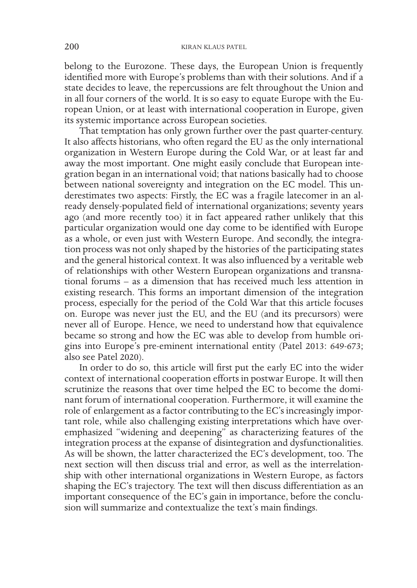belong to the Eurozone. These days, the European Union is frequently identifed more with Europe's problems than with their solutions. And if a state decides to leave, the repercussions are felt throughout the Union and in all four corners of the world. It is so easy to equate Europe with the European Union, or at least with international cooperation in Europe, given its systemic importance across European societies.

That temptation has only grown further over the past quarter-century. It also afects historians, who often regard the EU as the only international organization in Western Europe during the Cold War, or at least far and away the most important. One might easily conclude that European integration began in an international void; that nations basically had to choose between national sovereignty and integration on the EC model. This underestimates two aspects: Firstly, the EC was a fragile latecomer in an already densely-populated feld of international organizations; seventy years ago (and more recently too) it in fact appeared rather unlikely that this particular organization would one day come to be identifed with Europe as a whole, or even just with Western Europe. And secondly, the integration process was not only shaped by the histories of the participating states and the general historical context. It was also infuenced by a veritable web of relationships with other Western European organizations and transnational forums – as a dimension that has received much less attention in existing research. This forms an important dimension of the integration process, especially for the period of the Cold War that this article focuses on. Europe was never just the EU, and the EU (and its precursors) were never all of Europe. Hence, we need to understand how that equivalence became so strong and how the EC was able to develop from humble origins into Europe's pre-eminent international entity (Patel 2013: 649-673; also see Patel 2020).

In order to do so, this article will frst put the early EC into the wider context of international cooperation efforts in postwar Europe. It will then scrutinize the reasons that over time helped the EC to become the dominant forum of international cooperation. Furthermore, it will examine the role of enlargement as a factor contributing to the EC's increasingly important role, while also challenging existing interpretations which have overemphasized "widening and deepening" as characterizing features of the integration process at the expanse of disintegration and dysfunctionalities. As will be shown, the latter characterized the EC's development, too. The next section will then discuss trial and error, as well as the interrelationship with other international organizations in Western Europe, as factors shaping the EC's trajectory. The text will then discuss diferentiation as an important consequence of the EC's gain in importance, before the conclusion will summarize and contextualize the text's main fndings.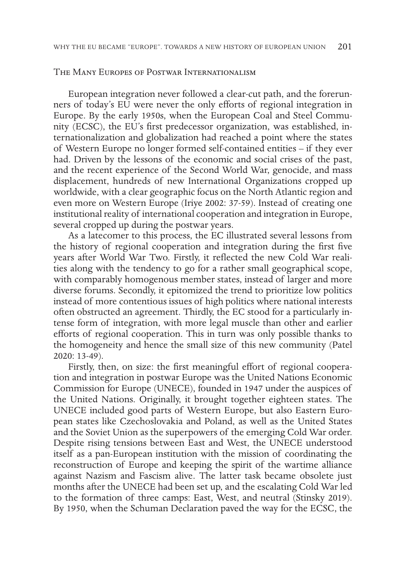#### The Many Europes of Postwar Internationalism

European integration never followed a clear-cut path, and the forerunners of today's EU were never the only efforts of regional integration in Europe. By the early 1950s, when the European Coal and Steel Community (ECSC), the EU's frst predecessor organization, was established, internationalization and globalization had reached a point where the states of Western Europe no longer formed self-contained entities – if they ever had. Driven by the lessons of the economic and social crises of the past, and the recent experience of the Second World War, genocide, and mass displacement, hundreds of new International Organizations cropped up worldwide, with a clear geographic focus on the North Atlantic region and even more on Western Europe (Iriye 2002: 37-59). Instead of creating one institutional reality of international cooperation and integration in Europe, several cropped up during the postwar years.

As a latecomer to this process, the EC illustrated several lessons from the history of regional cooperation and integration during the frst fve years after World War Two. Firstly, it refected the new Cold War realities along with the tendency to go for a rather small geographical scope, with comparably homogenous member states, instead of larger and more diverse forums. Secondly, it epitomized the trend to prioritize low politics instead of more contentious issues of high politics where national interests often obstructed an agreement. Thirdly, the EC stood for a particularly intense form of integration, with more legal muscle than other and earlier eforts of regional cooperation. This in turn was only possible thanks to the homogeneity and hence the small size of this new community (Patel 2020: 13-49).

Firstly, then, on size: the first meaningful effort of regional cooperation and integration in postwar Europe was the United Nations Economic Commission for Europe (UNECE), founded in 1947 under the auspices of the United Nations. Originally, it brought together eighteen states. The UNECE included good parts of Western Europe, but also Eastern European states like Czechoslovakia and Poland, as well as the United States and the Soviet Union as the superpowers of the emerging Cold War order. Despite rising tensions between East and West, the UNECE understood itself as a pan-European institution with the mission of coordinating the reconstruction of Europe and keeping the spirit of the wartime alliance against Nazism and Fascism alive. The latter task became obsolete just months after the UNECE had been set up, and the escalating Cold War led to the formation of three camps: East, West, and neutral (Stinsky 2019). By 1950, when the Schuman Declaration paved the way for the ECSC, the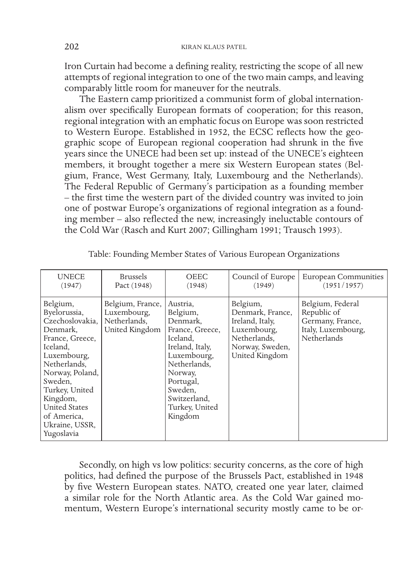Iron Curtain had become a defning reality, restricting the scope of all new attempts of regional integration to one of the two main camps, and leaving comparably little room for maneuver for the neutrals.

The Eastern camp prioritized a communist form of global internationalism over specifcally European formats of cooperation; for this reason, regional integration with an emphatic focus on Europe was soon restricted to Western Europe. Established in 1952, the ECSC refects how the geographic scope of European regional cooperation had shrunk in the fve years since the UNECE had been set up: instead of the UNECE's eighteen members, it brought together a mere six Western European states (Belgium, France, West Germany, Italy, Luxembourg and the Netherlands). The Federal Republic of Germany's participation as a founding member – the frst time the western part of the divided country was invited to join one of postwar Europe's organizations of regional integration as a founding member – also refected the new, increasingly ineluctable contours of the Cold War (Rasch and Kurt 2007; Gillingham 1991; Trausch 1993).

| <b>UNECE</b>                                                                                                                                                                                                                                             | <b>Brussels</b>                                                   | <b>OEEC</b>                                                                                                                                                                                       | Council of Europe                                                                                                   | <b>European Communities</b>                                                              |
|----------------------------------------------------------------------------------------------------------------------------------------------------------------------------------------------------------------------------------------------------------|-------------------------------------------------------------------|---------------------------------------------------------------------------------------------------------------------------------------------------------------------------------------------------|---------------------------------------------------------------------------------------------------------------------|------------------------------------------------------------------------------------------|
| (1947)                                                                                                                                                                                                                                                   | Pact (1948)                                                       | (1948)                                                                                                                                                                                            | (1949)                                                                                                              | (1951/1957)                                                                              |
| Belgium,<br>Byelorussia,<br>Czechoslovakia,<br>Denmark,<br>France, Greece,<br>Iceland,<br>Luxembourg,<br>Netherlands,<br>Norway, Poland,<br>Sweden.<br>Turkey, United<br>Kingdom,<br><b>United States</b><br>of America,<br>Ukraine, USSR,<br>Yugoslavia | Belgium, France,<br>Luxembourg,<br>Netherlands.<br>United Kingdom | Austria,<br>Belgium,<br>Denmark.<br>France, Greece,<br>Iceland,<br>Ireland, Italy,<br>Luxembourg,<br>Netherlands,<br>Norway,<br>Portugal,<br>Sweden,<br>Switzerland,<br>Turkey, United<br>Kingdom | Belgium,<br>Denmark, France,<br>Ireland, Italy,<br>Luxembourg,<br>Netherlands,<br>Norway, Sweden,<br>United Kingdom | Belgium, Federal<br>Republic of<br>Germany, France,<br>Italy, Luxembourg,<br>Netherlands |

Table: Founding Member States of Various European Organizations

Secondly, on high vs low politics: security concerns, as the core of high politics, had defned the purpose of the Brussels Pact, established in 1948 by five Western European states. NATO, created one year later, claimed a similar role for the North Atlantic area. As the Cold War gained momentum, Western Europe's international security mostly came to be or-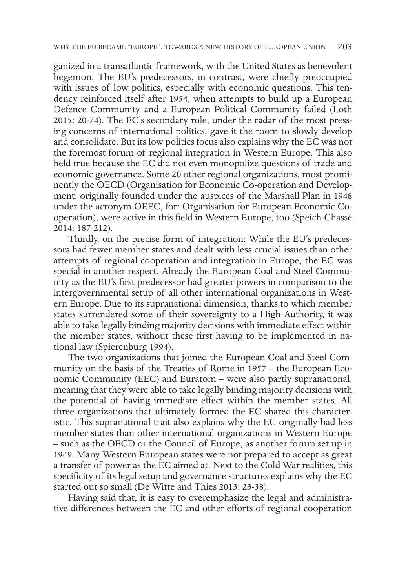ganized in a transatlantic framework, with the United States as benevolent hegemon. The EU's predecessors, in contrast, were chiefy preoccupied with issues of low politics, especially with economic questions. This tendency reinforced itself after 1954, when attempts to build up a European Defence Community and a European Political Community failed (Loth 2015: 20-74). The EC's secondary role, under the radar of the most pressing concerns of international politics, gave it the room to slowly develop and consolidate. But its low politics focus also explains why the EC was not the foremost forum of regional integration in Western Europe. This also held true because the EC did not even monopolize questions of trade and economic governance. Some 20 other regional organizations, most prominently the OECD (Organisation for Economic Co-operation and Development; originally founded under the auspices of the Marshall Plan in 1948 under the acronym OEEC, for: Organisation for European Economic Cooperation), were active in this feld in Western Europe, too (Speich-Chassé 2014: 187-212).

Thirdly, on the precise form of integration: While the EU's predecessors had fewer member states and dealt with less crucial issues than other attempts of regional cooperation and integration in Europe, the EC was special in another respect. Already the European Coal and Steel Community as the EU's frst predecessor had greater powers in comparison to the intergovernmental setup of all other international organizations in Western Europe. Due to its supranational dimension, thanks to which member states surrendered some of their sovereignty to a High Authority, it was able to take legally binding majority decisions with immediate efect within the member states, without these frst having to be implemented in national law (Spierenburg 1994).

The two organizations that joined the European Coal and Steel Community on the basis of the Treaties of Rome in 1957 – the European Economic Community (EEC) and Euratom – were also partly supranational, meaning that they were able to take legally binding majority decisions with the potential of having immediate efect within the member states. All three organizations that ultimately formed the EC shared this characteristic. This supranational trait also explains why the EC originally had less member states than other international organizations in Western Europe – such as the OECD or the Council of Europe, as another forum set up in 1949. Many Western European states were not prepared to accept as great a transfer of power as the EC aimed at. Next to the Cold War realities, this specifcity of its legal setup and governance structures explains why the EC started out so small (De Witte and Thies 2013: 23-38).

Having said that, it is easy to overemphasize the legal and administrative diferences between the EC and other eforts of regional cooperation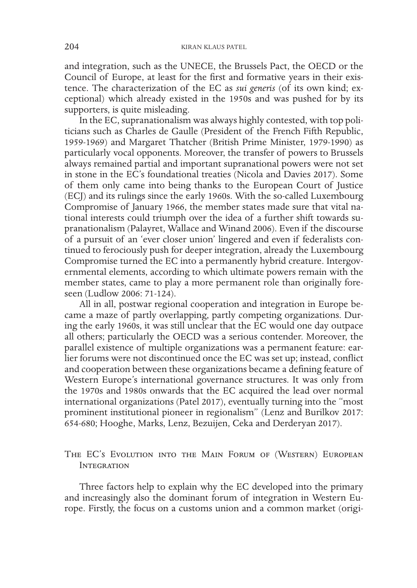and integration, such as the UNECE, the Brussels Pact, the OECD or the Council of Europe, at least for the frst and formative years in their existence. The characterization of the EC as *sui generis* (of its own kind; exceptional) which already existed in the 1950s and was pushed for by its supporters, is quite misleading.

In the EC, supranationalism was always highly contested, with top politicians such as Charles de Gaulle (President of the French Fifth Republic, 1959-1969) and Margaret Thatcher (British Prime Minister, 1979-1990) as particularly vocal opponents. Moreover, the transfer of powers to Brussels always remained partial and important supranational powers were not set in stone in the EC's foundational treaties (Nicola and Davies 2017). Some of them only came into being thanks to the European Court of Justice (ECJ) and its rulings since the early 1960s. With the so-called Luxembourg Compromise of January 1966, the member states made sure that vital national interests could triumph over the idea of a further shift towards supranationalism (Palayret, Wallace and Winand 2006). Even if the discourse of a pursuit of an 'ever closer union' lingered and even if federalists continued to ferociously push for deeper integration, already the Luxembourg Compromise turned the EC into a permanently hybrid creature. Intergovernmental elements, according to which ultimate powers remain with the member states, came to play a more permanent role than originally foreseen (Ludlow 2006: 71-124).

All in all, postwar regional cooperation and integration in Europe became a maze of partly overlapping, partly competing organizations. During the early 1960s, it was still unclear that the EC would one day outpace all others; particularly the OECD was a serious contender. Moreover, the parallel existence of multiple organizations was a permanent feature: earlier forums were not discontinued once the EC was set up; instead, confict and cooperation between these organizations became a defning feature of Western Europe's international governance structures. It was only from the 1970s and 1980s onwards that the EC acquired the lead over normal international organizations (Patel 2017), eventually turning into the "most prominent institutional pioneer in regionalism" (Lenz and Burilkov 2017: 654-680; Hooghe, Marks, Lenz, Bezuijen, Ceka and Derderyan 2017).

## The EC's Evolution into the Main Forum of (Western) European **INTEGRATION**

Three factors help to explain why the EC developed into the primary and increasingly also the dominant forum of integration in Western Europe. Firstly, the focus on a customs union and a common market (origi-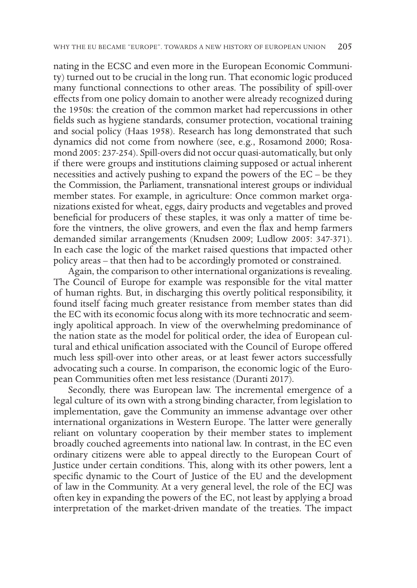nating in the ECSC and even more in the European Economic Community) turned out to be crucial in the long run. That economic logic produced many functional connections to other areas. The possibility of spill-over efects from one policy domain to another were already recognized during the 1950s: the creation of the common market had repercussions in other felds such as hygiene standards, consumer protection, vocational training and social policy (Haas 1958). Research has long demonstrated that such dynamics did not come from nowhere (see, e.g., Rosamond 2000; Rosamond 2005: 237-254). Spill-overs did not occur quasi-automatically, but only if there were groups and institutions claiming supposed or actual inherent necessities and actively pushing to expand the powers of the EC – be they the Commission, the Parliament, transnational interest groups or individual member states. For example, in agriculture: Once common market organizations existed for wheat, eggs, dairy products and vegetables and proved benefcial for producers of these staples, it was only a matter of time before the vintners, the olive growers, and even the flax and hemp farmers demanded similar arrangements (Knudsen 2009; Ludlow 2005: 347-371). In each case the logic of the market raised questions that impacted other policy areas – that then had to be accordingly promoted or constrained.

Again, the comparison to other international organizations is revealing. The Council of Europe for example was responsible for the vital matter of human rights. But, in discharging this overtly political responsibility, it found itself facing much greater resistance from member states than did the EC with its economic focus along with its more technocratic and seemingly apolitical approach. In view of the overwhelming predominance of the nation state as the model for political order, the idea of European cultural and ethical unifcation associated with the Council of Europe ofered much less spill-over into other areas, or at least fewer actors successfully advocating such a course. In comparison, the economic logic of the European Communities often met less resistance (Duranti 2017).

Secondly, there was European law. The incremental emergence of a legal culture of its own with a strong binding character, from legislation to implementation, gave the Community an immense advantage over other international organizations in Western Europe. The latter were generally reliant on voluntary cooperation by their member states to implement broadly couched agreements into national law. In contrast, in the EC even ordinary citizens were able to appeal directly to the European Court of Justice under certain conditions. This, along with its other powers, lent a specifc dynamic to the Court of Justice of the EU and the development of law in the Community. At a very general level, the role of the ECJ was often key in expanding the powers of the EC, not least by applying a broad interpretation of the market-driven mandate of the treaties. The impact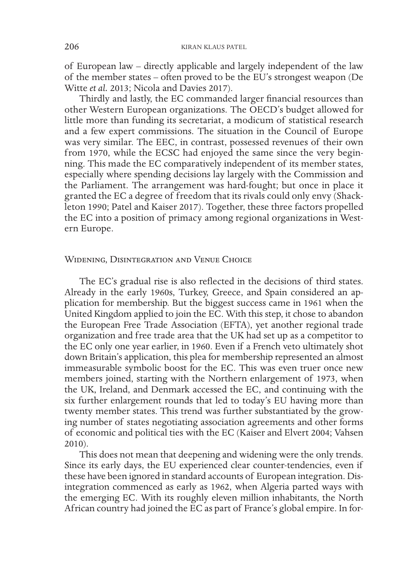of European law – directly applicable and largely independent of the law of the member states – often proved to be the EU's strongest weapon (De Witte *et al.* 2013; Nicola and Davies 2017).

Thirdly and lastly, the EC commanded larger fnancial resources than other Western European organizations. The OECD's budget allowed for little more than funding its secretariat, a modicum of statistical research and a few expert commissions. The situation in the Council of Europe was very similar. The EEC, in contrast, possessed revenues of their own from 1970, while the ECSC had enjoyed the same since the very beginning. This made the EC comparatively independent of its member states, especially where spending decisions lay largely with the Commission and the Parliament. The arrangement was hard-fought; but once in place it granted the EC a degree of freedom that its rivals could only envy (Shackleton 1990; Patel and Kaiser 2017). Together, these three factors propelled the EC into a position of primacy among regional organizations in Western Europe.

#### Widening, Disintegration and Venue Choice

The EC's gradual rise is also reflected in the decisions of third states. Already in the early 1960s, Turkey, Greece, and Spain considered an application for membership. But the biggest success came in 1961 when the United Kingdom applied to join the EC. With this step, it chose to abandon the European Free Trade Association (EFTA), yet another regional trade organization and free trade area that the UK had set up as a competitor to the EC only one year earlier, in 1960. Even if a French veto ultimately shot down Britain's application, this plea for membership represented an almost immeasurable symbolic boost for the EC. This was even truer once new members joined, starting with the Northern enlargement of 1973, when the UK, Ireland, and Denmark accessed the EC, and continuing with the six further enlargement rounds that led to today's EU having more than twenty member states. This trend was further substantiated by the growing number of states negotiating association agreements and other forms of economic and political ties with the EC (Kaiser and Elvert 2004; Vahsen 2010).

This does not mean that deepening and widening were the only trends. Since its early days, the EU experienced clear counter-tendencies, even if these have been ignored in standard accounts of European integration. Disintegration commenced as early as 1962, when Algeria parted ways with the emerging EC. With its roughly eleven million inhabitants, the North African country had joined the EC as part of France's global empire. In for-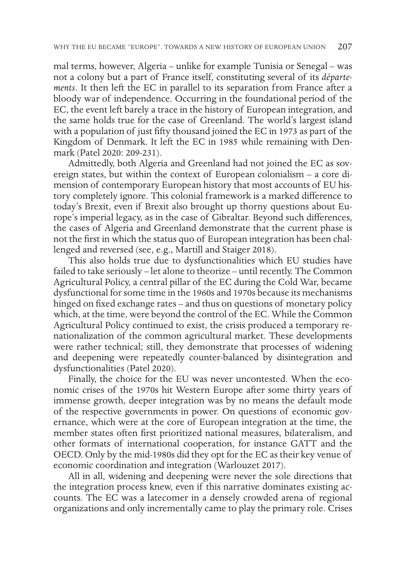mal terms, however, Algeria – unlike for example Tunisia or Senegal – was not a colony but a part of France itself, constituting several of its *départements*. It then left the EC in parallel to its separation from France after a bloody war of independence. Occurring in the foundational period of the EC, the event left barely a trace in the history of European integration, and the same holds true for the case of Greenland. The world's largest island with a population of just ffty thousand joined the EC in 1973 as part of the Kingdom of Denmark. It left the EC in 1985 while remaining with Denmark (Patel 2020: 209-231).

Admittedly, both Algeria and Greenland had not joined the EC as sovereign states, but within the context of European colonialism – a core dimension of contemporary European history that most accounts of EU history completely ignore. This colonial framework is a marked diference to today's Brexit, even if Brexit also brought up thorny questions about Europe's imperial legacy, as in the case of Gibraltar. Beyond such diferences, the cases of Algeria and Greenland demonstrate that the current phase is not the frst in which the status quo of European integration has been challenged and reversed (see, e.g., Martill and Staiger 2018).

This also holds true due to dysfunctionalities which EU studies have failed to take seriously – let alone to theorize – until recently. The Common Agricultural Policy, a central pillar of the EC during the Cold War, became dysfunctional for some time in the 1960s and 1970s because its mechanisms hinged on fixed exchange rates – and thus on questions of monetary policy which, at the time, were beyond the control of the EC. While the Common Agricultural Policy continued to exist, the crisis produced a temporary renationalization of the common agricultural market. These developments were rather technical; still, they demonstrate that processes of widening and deepening were repeatedly counter-balanced by disintegration and dysfunctionalities (Patel 2020).

Finally, the choice for the EU was never uncontested. When the economic crises of the 1970s hit Western Europe after some thirty years of immense growth, deeper integration was by no means the default mode of the respective governments in power. On questions of economic governance, which were at the core of European integration at the time, the member states often frst prioritized national measures, bilateralism, and other formats of international cooperation, for instance GATT and the OECD. Only by the mid-1980s did they opt for the EC as their key venue of economic coordination and integration (Warlouzet 2017).

All in all, widening and deepening were never the sole directions that the integration process knew, even if this narrative dominates existing accounts. The EC was a latecomer in a densely crowded arena of regional organizations and only incrementally came to play the primary role. Crises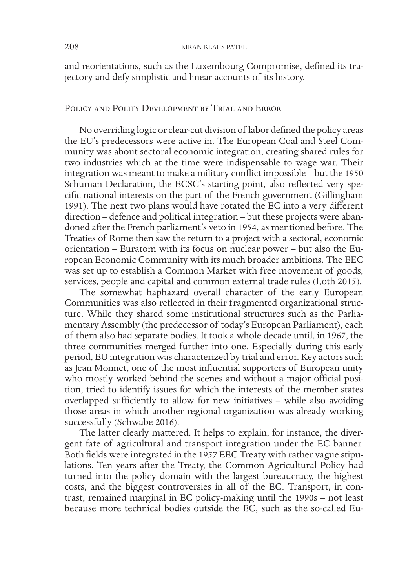and reorientations, such as the Luxembourg Compromise, defned its trajectory and defy simplistic and linear accounts of its history.

## Policy and Polity Development by Trial and Error

No overriding logic or clear-cut division of labor defned the policy areas the EU's predecessors were active in. The European Coal and Steel Community was about sectoral economic integration, creating shared rules for two industries which at the time were indispensable to wage war. Their integration was meant to make a military confict impossible – but the 1950 Schuman Declaration, the ECSC's starting point, also reflected very specifc national interests on the part of the French government (Gillingham 1991). The next two plans would have rotated the EC into a very diferent direction – defence and political integration – but these projects were abandoned after the French parliament's veto in 1954, as mentioned before. The Treaties of Rome then saw the return to a project with a sectoral, economic orientation – Euratom with its focus on nuclear power – but also the European Economic Community with its much broader ambitions. The EEC was set up to establish a Common Market with free movement of goods, services, people and capital and common external trade rules (Loth 2015).

The somewhat haphazard overall character of the early European Communities was also refected in their fragmented organizational structure. While they shared some institutional structures such as the Parliamentary Assembly (the predecessor of today's European Parliament), each of them also had separate bodies. It took a whole decade until, in 1967, the three communities merged further into one. Especially during this early period, EU integration was characterized by trial and error. Key actors such as Jean Monnet, one of the most infuential supporters of European unity who mostly worked behind the scenes and without a major official position, tried to identify issues for which the interests of the member states overlapped sufficiently to allow for new initiatives  $-$  while also avoiding those areas in which another regional organization was already working successfully (Schwabe 2016).

The latter clearly mattered. It helps to explain, for instance, the divergent fate of agricultural and transport integration under the EC banner. Both felds were integrated in the 1957 EEC Treaty with rather vague stipulations. Ten years after the Treaty, the Common Agricultural Policy had turned into the policy domain with the largest bureaucracy, the highest costs, and the biggest controversies in all of the EC. Transport, in contrast, remained marginal in EC policy-making until the 1990s – not least because more technical bodies outside the EC, such as the so-called Eu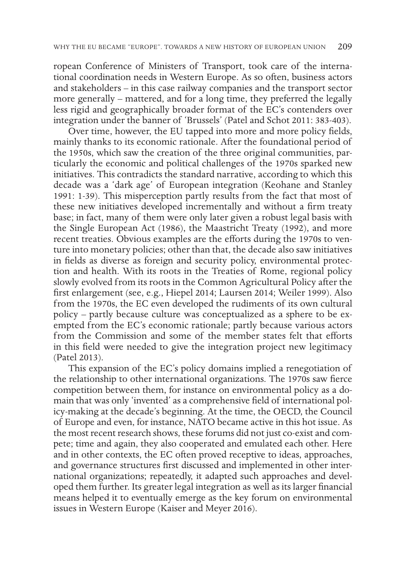ropean Conference of Ministers of Transport, took care of the international coordination needs in Western Europe. As so often, business actors and stakeholders – in this case railway companies and the transport sector more generally – mattered, and for a long time, they preferred the legally less rigid and geographically broader format of the EC's contenders over integration under the banner of 'Brussels' (Patel and Schot 2011: 383-403).

Over time, however, the EU tapped into more and more policy felds, mainly thanks to its economic rationale. After the foundational period of the 1950s, which saw the creation of the three original communities, particularly the economic and political challenges of the 1970s sparked new initiatives. This contradicts the standard narrative, according to which this decade was a 'dark age' of European integration (Keohane and Stanley 1991: 1-39). This misperception partly results from the fact that most of these new initiatives developed incrementally and without a frm treaty base; in fact, many of them were only later given a robust legal basis with the Single European Act (1986), the Maastricht Treaty (1992), and more recent treaties. Obvious examples are the efforts during the 1970s to venture into monetary policies; other than that, the decade also saw initiatives in felds as diverse as foreign and security policy, environmental protection and health. With its roots in the Treaties of Rome, regional policy slowly evolved from its roots in the Common Agricultural Policy after the frst enlargement (see, e.g., Hiepel 2014; Laursen 2014; Weiler 1999). Also from the 1970s, the EC even developed the rudiments of its own cultural policy – partly because culture was conceptualized as a sphere to be exempted from the EC's economic rationale; partly because various actors from the Commission and some of the member states felt that efforts in this feld were needed to give the integration project new legitimacy (Patel 2013).

This expansion of the EC's policy domains implied a renegotiation of the relationship to other international organizations. The 1970s saw ferce competition between them, for instance on environmental policy as a domain that was only 'invented' as a comprehensive feld of international policy-making at the decade's beginning. At the time, the OECD, the Council of Europe and even, for instance, NATO became active in this hot issue. As the most recent research shows, these forums did not just co-exist and compete; time and again, they also cooperated and emulated each other. Here and in other contexts, the EC often proved receptive to ideas, approaches, and governance structures frst discussed and implemented in other international organizations; repeatedly, it adapted such approaches and developed them further. Its greater legal integration as well as its larger fnancial means helped it to eventually emerge as the key forum on environmental issues in Western Europe (Kaiser and Meyer 2016).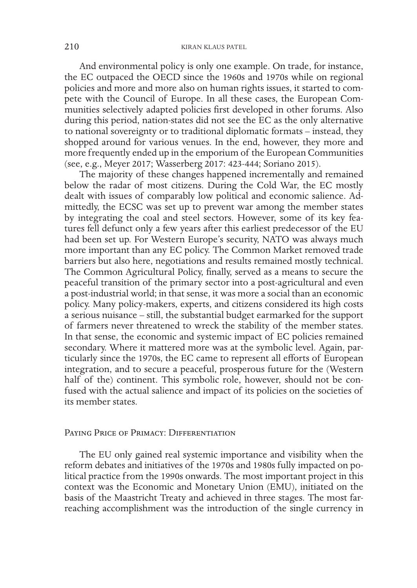And environmental policy is only one example. On trade, for instance, the EC outpaced the OECD since the 1960s and 1970s while on regional policies and more and more also on human rights issues, it started to compete with the Council of Europe. In all these cases, the European Communities selectively adapted policies frst developed in other forums. Also during this period, nation-states did not see the EC as the only alternative to national sovereignty or to traditional diplomatic formats – instead, they shopped around for various venues. In the end, however, they more and more frequently ended up in the emporium of the European Communities (see, e.g., Meyer 2017; Wasserberg 2017: 423-444; Soriano 2015).

The majority of these changes happened incrementally and remained below the radar of most citizens. During the Cold War, the EC mostly dealt with issues of comparably low political and economic salience. Admittedly, the ECSC was set up to prevent war among the member states by integrating the coal and steel sectors. However, some of its key features fell defunct only a few years after this earliest predecessor of the EU had been set up. For Western Europe's security, NATO was always much more important than any EC policy. The Common Market removed trade barriers but also here, negotiations and results remained mostly technical. The Common Agricultural Policy, fnally, served as a means to secure the peaceful transition of the primary sector into a post-agricultural and even a post-industrial world; in that sense, it was more a social than an economic policy. Many policy-makers, experts, and citizens considered its high costs a serious nuisance – still, the substantial budget earmarked for the support of farmers never threatened to wreck the stability of the member states. In that sense, the economic and systemic impact of EC policies remained secondary. Where it mattered more was at the symbolic level. Again, particularly since the 1970s, the EC came to represent all efforts of European integration, and to secure a peaceful, prosperous future for the (Western half of the) continent. This symbolic role, however, should not be confused with the actual salience and impact of its policies on the societies of its member states.

#### Paying Price of Primacy: Differentiation

The EU only gained real systemic importance and visibility when the reform debates and initiatives of the 1970s and 1980s fully impacted on political practice from the 1990s onwards. The most important project in this context was the Economic and Monetary Union (EMU), initiated on the basis of the Maastricht Treaty and achieved in three stages. The most farreaching accomplishment was the introduction of the single currency in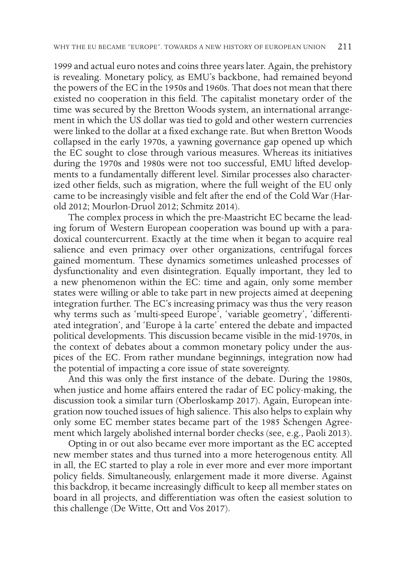1999 and actual euro notes and coins three years later. Again, the prehistory is revealing. Monetary policy, as EMU's backbone, had remained beyond the powers of the EC in the 1950s and 1960s. That does not mean that there existed no cooperation in this feld. The capitalist monetary order of the time was secured by the Bretton Woods system, an international arrangement in which the US dollar was tied to gold and other western currencies were linked to the dollar at a fxed exchange rate. But when Bretton Woods collapsed in the early 1970s, a yawning governance gap opened up which the EC sought to close through various measures. Whereas its initiatives during the 1970s and 1980s were not too successful, EMU lifted developments to a fundamentally diferent level. Similar processes also characterized other felds, such as migration, where the full weight of the EU only came to be increasingly visible and felt after the end of the Cold War (Harold 2012; Mourlon-Druol 2012; Schmitz 2014).

The complex process in which the pre-Maastricht EC became the leading forum of Western European cooperation was bound up with a paradoxical countercurrent. Exactly at the time when it began to acquire real salience and even primacy over other organizations, centrifugal forces gained momentum. These dynamics sometimes unleashed processes of dysfunctionality and even disintegration. Equally important, they led to a new phenomenon within the EC: time and again, only some member states were willing or able to take part in new projects aimed at deepening integration further. The EC's increasing primacy was thus the very reason why terms such as 'multi-speed Europe', 'variable geometry', 'diferentiated integration', and 'Europe à la carte' entered the debate and impacted political developments. This discussion became visible in the mid-1970s, in the context of debates about a common monetary policy under the auspices of the EC. From rather mundane beginnings, integration now had the potential of impacting a core issue of state sovereignty.

And this was only the frst instance of the debate. During the 1980s, when justice and home affairs entered the radar of EC policy-making, the discussion took a similar turn (Oberloskamp 2017). Again, European integration now touched issues of high salience. This also helps to explain why only some EC member states became part of the 1985 Schengen Agreement which largely abolished internal border checks (see, e.g., Paoli 2013).

Opting in or out also became ever more important as the EC accepted new member states and thus turned into a more heterogenous entity. All in all, the EC started to play a role in ever more and ever more important policy felds. Simultaneously, enlargement made it more diverse. Against this backdrop, it became increasingly difficult to keep all member states on board in all projects, and diferentiation was often the easiest solution to this challenge (De Witte, Ott and Vos 2017).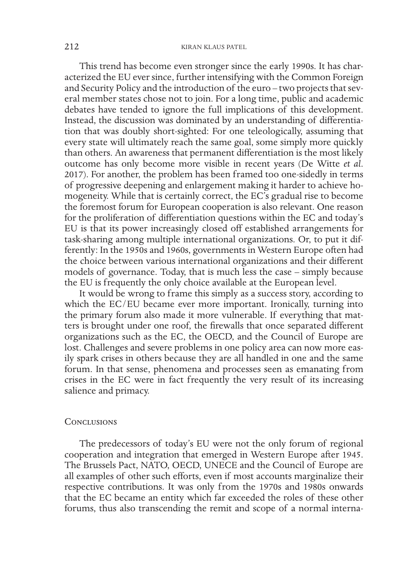This trend has become even stronger since the early 1990s. It has characterized the EU ever since, further intensifying with the Common Foreign and Security Policy and the introduction of the euro – two projects that several member states chose not to join. For a long time, public and academic debates have tended to ignore the full implications of this development. Instead, the discussion was dominated by an understanding of diferentiation that was doubly short-sighted: For one teleologically, assuming that every state will ultimately reach the same goal, some simply more quickly than others. An awareness that permanent diferentiation is the most likely outcome has only become more visible in recent years (De Witte *et al*. 2017). For another, the problem has been framed too one-sidedly in terms of progressive deepening and enlargement making it harder to achieve homogeneity. While that is certainly correct, the EC's gradual rise to become the foremost forum for European cooperation is also relevant. One reason for the proliferation of diferentiation questions within the EC and today's EU is that its power increasingly closed off established arrangements for task-sharing among multiple international organizations. Or, to put it differently: In the 1950s and 1960s, governments in Western Europe often had the choice between various international organizations and their diferent models of governance. Today, that is much less the case – simply because the EU is frequently the only choice available at the European level.

It would be wrong to frame this simply as a success story, according to which the EC/EU became ever more important. Ironically, turning into the primary forum also made it more vulnerable. If everything that matters is brought under one roof, the frewalls that once separated diferent organizations such as the EC, the OECD, and the Council of Europe are lost. Challenges and severe problems in one policy area can now more easily spark crises in others because they are all handled in one and the same forum. In that sense, phenomena and processes seen as emanating from crises in the EC were in fact frequently the very result of its increasing salience and primacy.

#### **CONCLUSIONS**

The predecessors of today's EU were not the only forum of regional cooperation and integration that emerged in Western Europe after 1945. The Brussels Pact, NATO, OECD, UNECE and the Council of Europe are all examples of other such eforts, even if most accounts marginalize their respective contributions. It was only from the 1970s and 1980s onwards that the EC became an entity which far exceeded the roles of these other forums, thus also transcending the remit and scope of a normal interna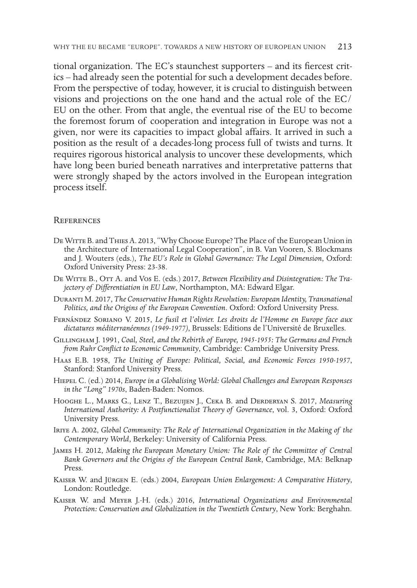tional organization. The EC's staunchest supporters – and its fercest critics – had already seen the potential for such a development decades before. From the perspective of today, however, it is crucial to distinguish between visions and projections on the one hand and the actual role of the EC/ EU on the other. From that angle, the eventual rise of the EU to become the foremost forum of cooperation and integration in Europe was not a given, nor were its capacities to impact global afairs. It arrived in such a position as the result of a decades-long process full of twists and turns. It requires rigorous historical analysis to uncover these developments, which have long been buried beneath narratives and interpretative patterns that were strongly shaped by the actors involved in the European integration process itself.

#### **REFERENCES**

- De Witte B. and Thies A. 2013, "Why Choose Europe? The Place of the European Union in the Architecture of International Legal Cooperation", in B. Van Vooren, S. Blockmans and J. Wouters (eds.), *The EU's Role in Global Governance: The Legal Dimension*, Oxford: Oxford University Press: 23-38.
- De Witte B., Ott A. and Vos E. (eds.) 2017, *Between Flexibility and Disintegration: The Trajectory of Diferentiation in EU Law*, Northampton, MA: Edward Elgar.
- Duranti M. 2017, *The Conservative Human Rights Revolution: European Identity, Transnational Politics, and the Origins of the European Convention*. Oxford: Oxford University Press.
- Fernández Soriano V. 2015, *Le fusil et l'olivier. Les droits de l'Homme en Europe face aux dictatures méditerranéennes (1949-1977)*, Brussels: Editions de l'Université de Bruxelles.
- Gillingham J. 1991, *Coal, Steel, and the Rebirth of Europe, 1945-1955: The Germans and French from Ruhr Confict to Economic Community*, Cambridge: Cambridge University Press.
- Haas E.B. 1958, *The Uniting of Europe: Political, Social, and Economic Forces 1950-1957*, Stanford: Stanford University Press.
- Hiepel C. (ed.) 2014, *Europe in a Globalising World: Global Challenges and European Responses in the "Long" 1970s*, Baden-Baden: Nomos.
- Hooghe L., Marks G., Lenz T., Bezuijen J., Ceka B. and Derderyan S. 2017, *Measuring International Authority: A Postfunctionalist Theory of Governance*, vol. 3, Oxford: Oxford University Press.
- Iriye A. 2002, *Global Community: The Role of International Organization in the Making of the Contemporary World*, Berkeley: University of California Press.
- James H. 2012, *Making the European Monetary Union: The Role of the Committee of Central Bank Governors and the Origins of the European Central Bank*, Cambridge, MA: Belknap Press.
- Kaiser W. and Jürgen E. (eds.) 2004, *European Union Enlargement: A Comparative History*, London: Routledge.
- Kaiser W. and Meyer J.-H. (eds.) 2016, *International Organizations and Environmental Protection: Conservation and Globalization in the Twentieth Century*, New York: Berghahn.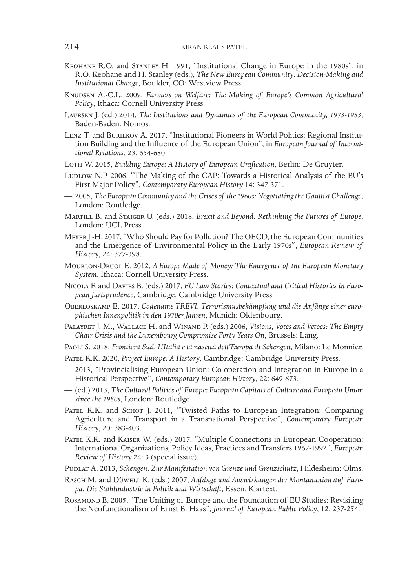- Keohane R.O. and Stanley H. 1991, "Institutional Change in Europe in the 1980s", in R.O. Keohane and H. Stanley (eds.), *The New European Community: Decision-Making and Institutional Change*, Boulder, CO: Westview Press.
- Knudsen A.-C.L. 2009, *Farmers on Welfare: The Making of Europe's Common Agricultural Policy*, Ithaca: Cornell University Press.
- Laursen J. (ed.) 2014, *The Institutions and Dynamics of the European Community, 1973-1983*, Baden-Baden: Nomos.
- LENZ T. and BURILKOV A. 2017, "Institutional Pioneers in World Politics: Regional Institution Building and the Infuence of the European Union", in *European Journal of International Relations*, 23: 654-680.
- Loth W. 2015, *Building Europe: A History of European Unifcation*, Berlin: De Gruyter.
- Luplow N.P. 2006. "The Making of the CAP: Towards a Historical Analysis of the EU's First Major Policy", *Contemporary European History* 14: 347-371.
- 2005, *The European Community and the Crises of the 1960s: Negotiating the Gaullist Challenge*, London: Routledge.
- Martill B. and Staiger U. (eds.) 2018, *Brexit and Beyond: Rethinking the Futures of Europe*, London: UCL Press.
- Meyer J.-H. 2017, "Who Should Pay for Pollution? The OECD, the European Communities and the Emergence of Environmental Policy in the Early 1970s", *European Review of History*, 24: 377-398.
- Mourlon-Druol E. 2012, *A Europe Made of Money: The Emergence of the European Monetary System*, Ithaca: Cornell University Press.
- Nicola F. and Davies B. (eds.) 2017, *EU Law Stories: Contextual and Critical Histories in European Jurisprudence*, Cambridge: Cambridge University Press.
- Oberloskamp E. 2017, *Codename TREVI. Terrorismusbekämpfung und die Anfänge einer europäischen Innenpolitik in den 1970er Jahren*, Munich: Oldenbourg.
- Palayret J.-M., Wallace H. and Winand P. (eds.) 2006, *Visions, Votes and Vetoes: The Empty Chair Crisis and the Luxembourg Compromise Forty Years On*, Brussels: Lang.
- Paoli S. 2018, *Frontiera Sud. L'Italia e la nascita dell'Europa di Schengen*, Milano: Le Monnier.
- Patel K.K. 2020, *Project Europe: A History*, Cambridge: Cambridge University Press.
- 2013, "Provincialising European Union: Co-operation and Integration in Europe in a Historical Perspective", *Contemporary European History*, 22: 649-673.
- (ed.) 2013, *The Cultural Politics of Europe: European Capitals of Culture and European Union since the 1980s*, London: Routledge.
- PATEL K.K. and SCHOT J. 2011, "Twisted Paths to European Integration: Comparing Agriculture and Transport in a Transnational Perspective", *Contemporary European History*, 20: 383-403.
- Patel K.K. and Kaiser W. (eds.) 2017, "Multiple Connections in European Cooperation: International Organizations, Policy Ideas, Practices and Transfers 1967-1992", *European Review of History* 24: 3 (special issue).
- Pudlat A. 2013, *Schengen. Zur Manifestation von Grenze und Grenzschutz*, Hildesheim: Olms.
- Rasch M. and Düwell K. (eds.) 2007, *Anfänge und Auswirkungen der Montanunion auf Europa. Die Stahlindustrie in Politik und Wirtschaft*, Essen: Klartext.
- ROSAMOND B. 2005, "The Uniting of Europe and the Foundation of EU Studies: Revisiting the Neofunctionalism of Ernst B. Haas", *Journal of European Public Policy*, 12: 237-254.